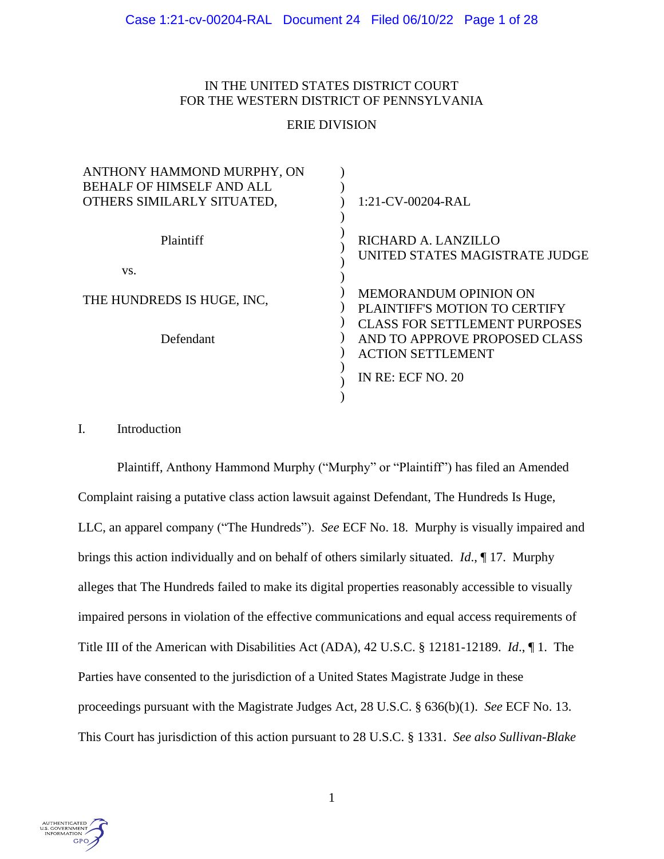# IN THE UNITED STATES DISTRICT COURT FOR THE WESTERN DISTRICT OF PENNSYLVANIA

# ERIE DIVISION

| ANTHONY HAMMOND MURPHY, ON       |                                                       |
|----------------------------------|-------------------------------------------------------|
| <b>BEHALF OF HIMSELF AND ALL</b> |                                                       |
| OTHERS SIMILARLY SITUATED,       | 1:21-CV-00204-RAL                                     |
| Plaintiff<br>VS.                 | RICHARD A. LANZILLO<br>UNITED STATES MAGISTRATE JUDGE |
|                                  |                                                       |
| THE HUNDREDS IS HUGE, INC.       | <b>MEMORANDUM OPINION ON</b>                          |
|                                  | PLAINTIFF'S MOTION TO CERTIFY                         |
|                                  | <b>CLASS FOR SETTLEMENT PURPOSES</b>                  |
| Defendant                        | AND TO APPROVE PROPOSED CLASS                         |
|                                  | <b>ACTION SETTLEMENT</b>                              |
|                                  | IN RE: ECF NO. 20                                     |
|                                  |                                                       |

# I. Introduction

Plaintiff, Anthony Hammond Murphy ("Murphy" or "Plaintiff") has filed an Amended Complaint raising a putative class action lawsuit against Defendant, The Hundreds Is Huge, LLC, an apparel company ("The Hundreds"). *See* ECF No. 18. Murphy is visually impaired and brings this action individually and on behalf of others similarly situated. *Id*., ¶ 17. Murphy alleges that The Hundreds failed to make its digital properties reasonably accessible to visually impaired persons in violation of the effective communications and equal access requirements of Title III of the American with Disabilities Act (ADA), 42 U.S.C. § 12181-12189. *Id*., ¶ 1. The Parties have consented to the jurisdiction of a United States Magistrate Judge in these proceedings pursuant with the Magistrate Judges Act, 28 U.S.C. § 636(b)(1). *See* ECF No. 13. This Court has jurisdiction of this action pursuant to 28 U.S.C. § 1331. *See also Sullivan-Blake* 

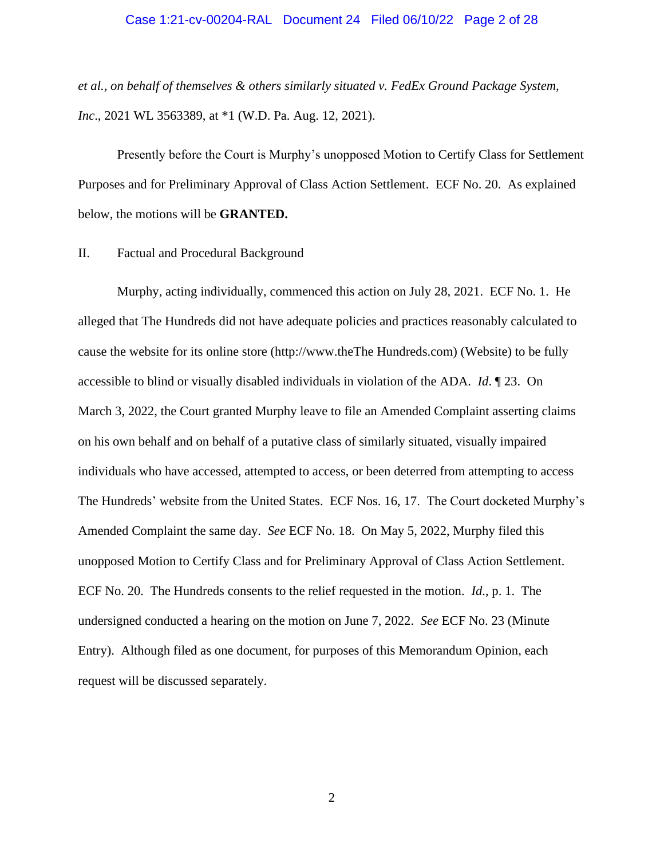#### Case 1:21-cv-00204-RAL Document 24 Filed 06/10/22 Page 2 of 28

*et al., on behalf of themselves & others similarly situated v. FedEx Ground Package System, Inc.*, 2021 WL 3563389, at \*1 (W.D. Pa. Aug. 12, 2021).

Presently before the Court is Murphy's unopposed Motion to Certify Class for Settlement Purposes and for Preliminary Approval of Class Action Settlement. ECF No. 20. As explained below, the motions will be **GRANTED.**

### II. Factual and Procedural Background

Murphy, acting individually, commenced this action on July 28, 2021. ECF No. 1. He alleged that The Hundreds did not have adequate policies and practices reasonably calculated to cause the website for its online store (http://www.theThe Hundreds.com) (Website) to be fully accessible to blind or visually disabled individuals in violation of the ADA. *Id*. ¶ 23. On March 3, 2022, the Court granted Murphy leave to file an Amended Complaint asserting claims on his own behalf and on behalf of a putative class of similarly situated, visually impaired individuals who have accessed, attempted to access, or been deterred from attempting to access The Hundreds' website from the United States. ECF Nos. 16, 17. The Court docketed Murphy's Amended Complaint the same day. *See* ECF No. 18. On May 5, 2022, Murphy filed this unopposed Motion to Certify Class and for Preliminary Approval of Class Action Settlement. ECF No. 20. The Hundreds consents to the relief requested in the motion. *Id*., p. 1. The undersigned conducted a hearing on the motion on June 7, 2022. *See* ECF No. 23 (Minute Entry). Although filed as one document, for purposes of this Memorandum Opinion, each request will be discussed separately.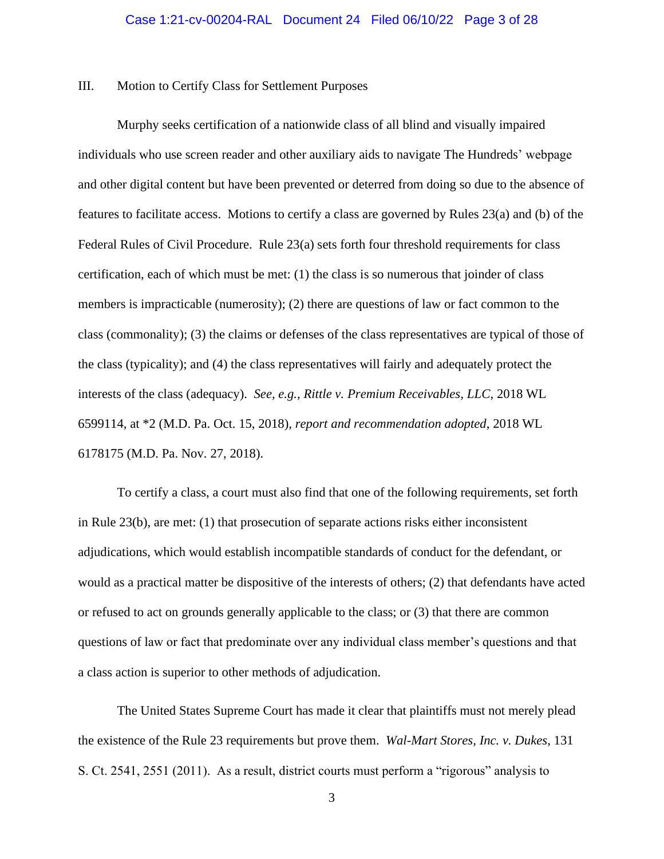#### III. Motion to Certify Class for Settlement Purposes

Murphy seeks certification of a nationwide class of all blind and visually impaired individuals who use screen reader and other auxiliary aids to navigate The Hundreds' webpage and other digital content but have been prevented or deterred from doing so due to the absence of features to facilitate access. Motions to certify a class are governed by Rules 23(a) and (b) of the Federal Rules of Civil Procedure. Rule 23(a) sets forth four threshold requirements for class certification, each of which must be met: (1) the class is so numerous that joinder of class members is impracticable (numerosity); (2) there are questions of law or fact common to the class (commonality); (3) the claims or defenses of the class representatives are typical of those of the class (typicality); and (4) the class representatives will fairly and adequately protect the interests of the class (adequacy). *See, e.g., Rittle v. Premium Receivables, LLC*, 2018 WL 6599114, at \*2 (M.D. Pa. Oct. 15, 2018), *report and recommendation adopted*, 2018 WL 6178175 (M.D. Pa. Nov. 27, 2018).

To certify a class, a court must also find that one of the following requirements, set forth in Rule 23(b), are met: (1) that prosecution of separate actions risks either inconsistent adjudications, which would establish incompatible standards of conduct for the defendant, or would as a practical matter be dispositive of the interests of others; (2) that defendants have acted or refused to act on grounds generally applicable to the class; or (3) that there are common questions of law or fact that predominate over any individual class member's questions and that a class action is superior to other methods of adjudication.

The United States Supreme Court has made it clear that plaintiffs must not merely plead the existence of the Rule 23 requirements but prove them. *Wal-Mart Stores, Inc. v. Dukes*, 131 S. Ct. 2541, 2551 (2011). As a result, district courts must perform a "rigorous" analysis to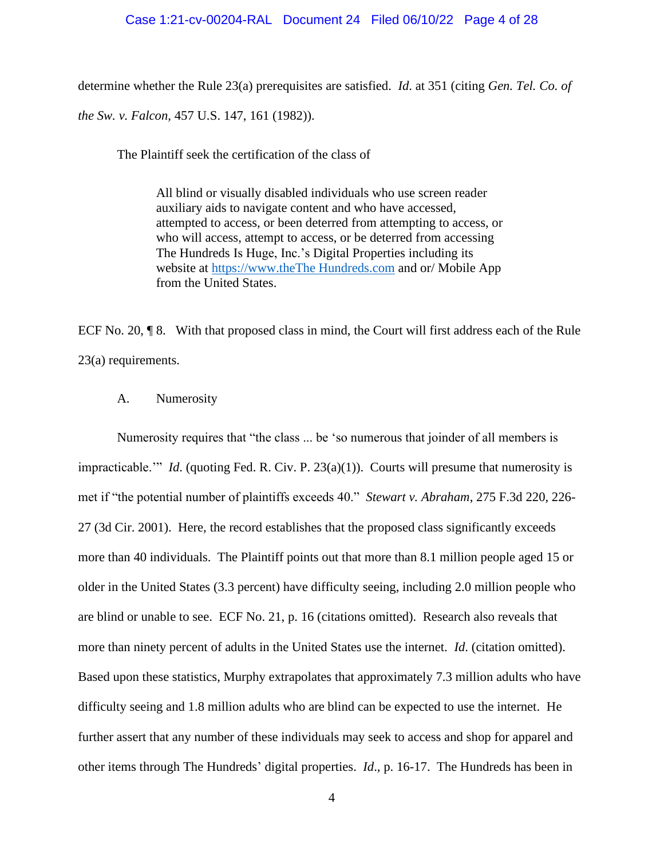#### Case 1:21-cv-00204-RAL Document 24 Filed 06/10/22 Page 4 of 28

determine whether the Rule 23(a) prerequisites are satisfied. *Id*. at 351 (citing *Gen. Tel. Co. of the Sw. v. Falcon,* 457 U.S. 147, 161 (1982)).

The Plaintiff seek the certification of the class of

All blind or visually disabled individuals who use screen reader auxiliary aids to navigate content and who have accessed, attempted to access, or been deterred from attempting to access, or who will access, attempt to access, or be deterred from accessing The Hundreds Is Huge, Inc.'s Digital Properties including its website at [https://www.theThe Hundreds.com](https://www.thehundreds.com/) and or/ Mobile App from the United States.

ECF No. 20, ¶ 8. With that proposed class in mind, the Court will first address each of the Rule 23(a) requirements.

#### A. Numerosity

Numerosity requires that "the class ... be 'so numerous that joinder of all members is impracticable.'" *Id*. (quoting Fed. R. Civ. P. 23(a)(1)). Courts will presume that numerosity is met if "the potential number of plaintiffs exceeds 40." *Stewart v. Abraham*, 275 F.3d 220, 226- 27 (3d Cir. 2001). Here, the record establishes that the proposed class significantly exceeds more than 40 individuals. The Plaintiff points out that more than 8.1 million people aged 15 or older in the United States (3.3 percent) have difficulty seeing, including 2.0 million people who are blind or unable to see. ECF No. 21, p. 16 (citations omitted). Research also reveals that more than ninety percent of adults in the United States use the internet. *Id*. (citation omitted). Based upon these statistics, Murphy extrapolates that approximately 7.3 million adults who have difficulty seeing and 1.8 million adults who are blind can be expected to use the internet. He further assert that any number of these individuals may seek to access and shop for apparel and other items through The Hundreds' digital properties. *Id*., p. 16-17. The Hundreds has been in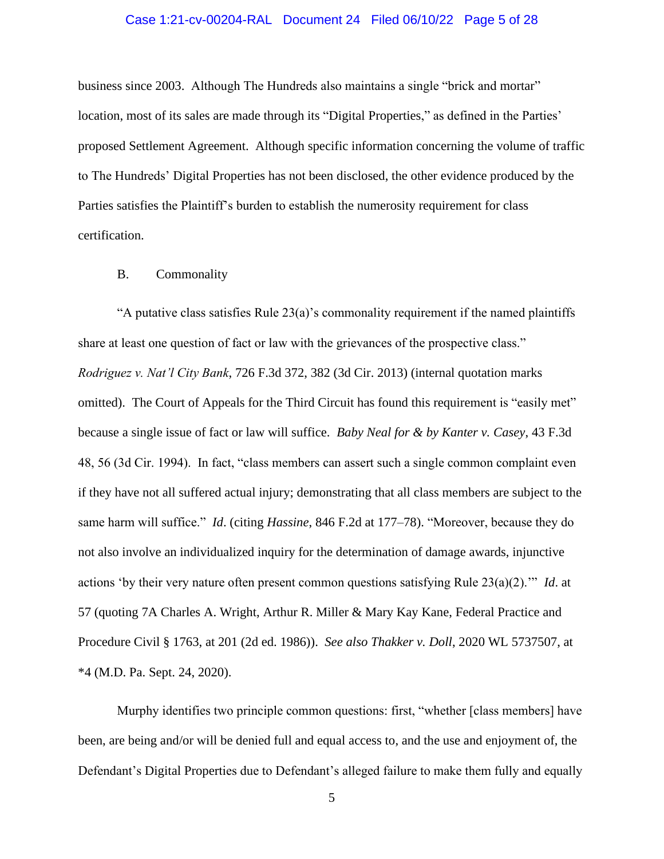### Case 1:21-cv-00204-RAL Document 24 Filed 06/10/22 Page 5 of 28

business since 2003. Although The Hundreds also maintains a single "brick and mortar" location, most of its sales are made through its "Digital Properties," as defined in the Parties' proposed Settlement Agreement. Although specific information concerning the volume of traffic to The Hundreds' Digital Properties has not been disclosed, the other evidence produced by the Parties satisfies the Plaintiff's burden to establish the numerosity requirement for class certification.

#### B. Commonality

"A putative class satisfies Rule 23(a)'s commonality requirement if the named plaintiffs share at least one question of fact or law with the grievances of the prospective class." *Rodriguez v. Nat'l City Bank*, 726 F.3d 372, 382 (3d Cir. 2013) (internal quotation marks omitted). The Court of Appeals for the Third Circuit has found this requirement is "easily met" because a single issue of fact or law will suffice. *Baby Neal for & by Kanter v. Casey*, 43 F.3d 48, 56 (3d Cir. 1994). In fact, "class members can assert such a single common complaint even if they have not all suffered actual injury; demonstrating that all class members are subject to the same harm will suffice." *Id*. (citing *Hassine*, 846 F.2d at 177–78). "Moreover, because they do not also involve an individualized inquiry for the determination of damage awards, injunctive actions 'by their very nature often present common questions satisfying Rule 23(a)(2).'" *Id*. at 57 (quoting 7A Charles A. Wright, Arthur R. Miller & Mary Kay Kane, Federal Practice and Procedure Civil § 1763, at 201 (2d ed. 1986)). *See also Thakker v. Doll*, 2020 WL 5737507, at \*4 (M.D. Pa. Sept. 24, 2020).

Murphy identifies two principle common questions: first, "whether [class members] have been, are being and/or will be denied full and equal access to, and the use and enjoyment of, the Defendant's Digital Properties due to Defendant's alleged failure to make them fully and equally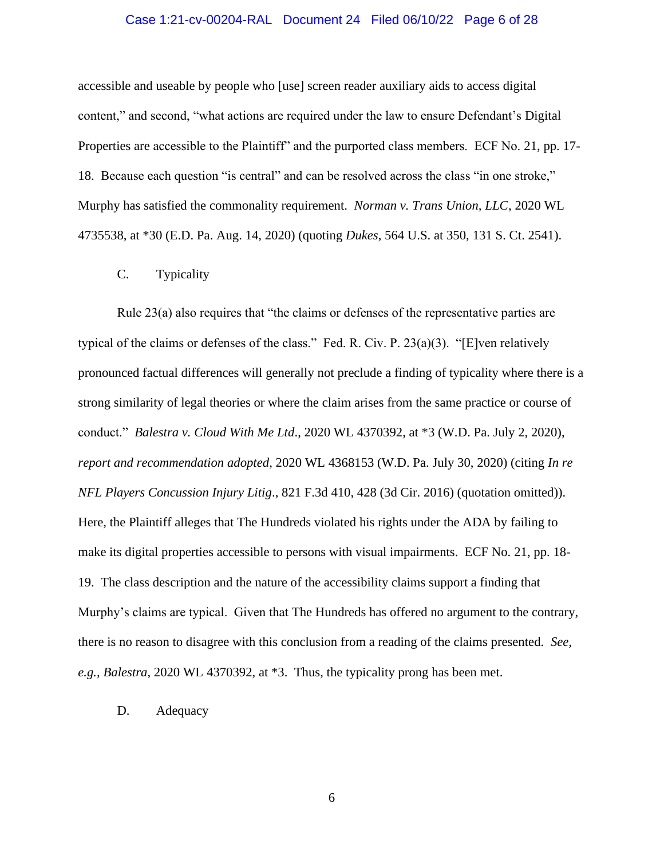### Case 1:21-cv-00204-RAL Document 24 Filed 06/10/22 Page 6 of 28

accessible and useable by people who [use] screen reader auxiliary aids to access digital content," and second, "what actions are required under the law to ensure Defendant's Digital Properties are accessible to the Plaintiff" and the purported class members. ECF No. 21, pp. 17- 18. Because each question "is central" and can be resolved across the class "in one stroke," Murphy has satisfied the commonality requirement. *Norman v. Trans Union, LLC*, 2020 WL 4735538, at \*30 (E.D. Pa. Aug. 14, 2020) (quoting *Dukes*, 564 U.S. at 350, 131 S. Ct. 2541).

C. Typicality

Rule 23(a) also requires that "the claims or defenses of the representative parties are typical of the claims or defenses of the class." Fed. R. Civ. P. 23(a)(3). "[E]ven relatively pronounced factual differences will generally not preclude a finding of typicality where there is a strong similarity of legal theories or where the claim arises from the same practice or course of conduct." *Balestra v. Cloud With Me Ltd*., 2020 WL 4370392, at \*3 (W.D. Pa. July 2, 2020), *report and recommendation adopted*, 2020 WL 4368153 (W.D. Pa. July 30, 2020) (citing *In re NFL Players Concussion Injury Litig*., 821 F.3d 410, 428 (3d Cir. 2016) (quotation omitted)). Here, the Plaintiff alleges that The Hundreds violated his rights under the ADA by failing to make its digital properties accessible to persons with visual impairments. ECF No. 21, pp. 18- 19. The class description and the nature of the accessibility claims support a finding that Murphy's claims are typical. Given that The Hundreds has offered no argument to the contrary, there is no reason to disagree with this conclusion from a reading of the claims presented. *See, e.g., Balestra*, 2020 WL 4370392, at \*3. Thus, the typicality prong has been met.

D. Adequacy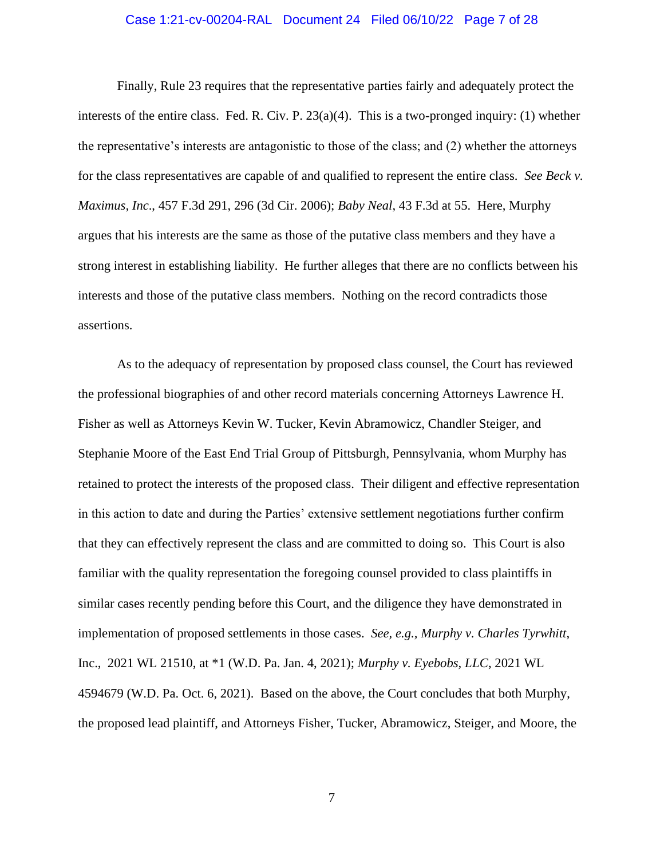### Case 1:21-cv-00204-RAL Document 24 Filed 06/10/22 Page 7 of 28

Finally, Rule 23 requires that the representative parties fairly and adequately protect the interests of the entire class. Fed. R. Civ. P. 23(a)(4). This is a two-pronged inquiry: (1) whether the representative's interests are antagonistic to those of the class; and (2) whether the attorneys for the class representatives are capable of and qualified to represent the entire class. *See Beck v. Maximus, Inc*., 457 F.3d 291, 296 (3d Cir. 2006); *Baby Neal*, 43 F.3d at 55. Here, Murphy argues that his interests are the same as those of the putative class members and they have a strong interest in establishing liability. He further alleges that there are no conflicts between his interests and those of the putative class members. Nothing on the record contradicts those assertions.

As to the adequacy of representation by proposed class counsel, the Court has reviewed the professional biographies of and other record materials concerning Attorneys Lawrence H. Fisher as well as Attorneys Kevin W. Tucker, Kevin Abramowicz, Chandler Steiger, and Stephanie Moore of the East End Trial Group of Pittsburgh, Pennsylvania, whom Murphy has retained to protect the interests of the proposed class. Their diligent and effective representation in this action to date and during the Parties' extensive settlement negotiations further confirm that they can effectively represent the class and are committed to doing so. This Court is also familiar with the quality representation the foregoing counsel provided to class plaintiffs in similar cases recently pending before this Court, and the diligence they have demonstrated in implementation of proposed settlements in those cases. *See, e.g., Murphy v. Charles Tyrwhitt*, Inc., 2021 WL 21510, at \*1 (W.D. Pa. Jan. 4, 2021); *Murphy v. Eyebobs, LLC*, 2021 WL 4594679 (W.D. Pa. Oct. 6, 2021). Based on the above, the Court concludes that both Murphy, the proposed lead plaintiff, and Attorneys Fisher, Tucker, Abramowicz, Steiger, and Moore, the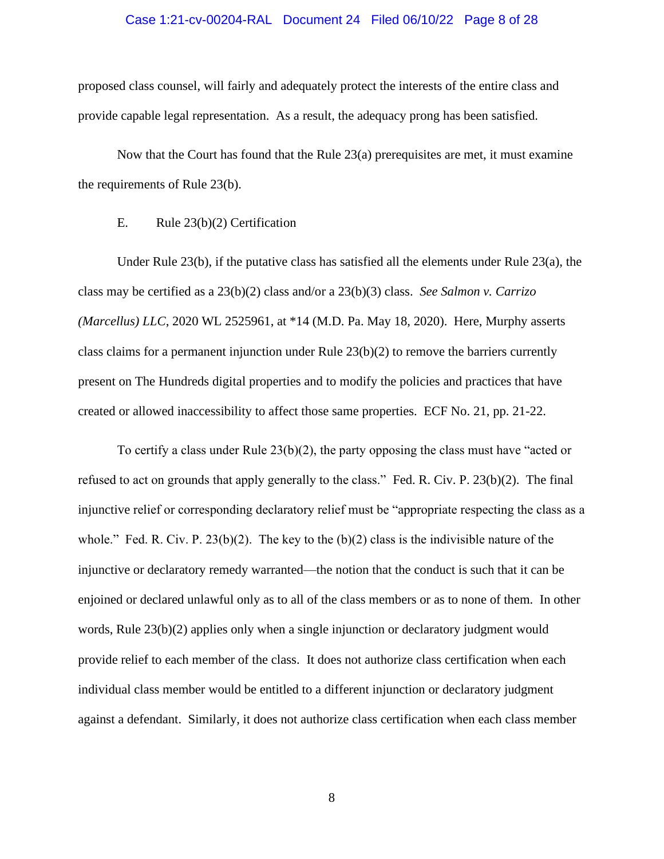#### Case 1:21-cv-00204-RAL Document 24 Filed 06/10/22 Page 8 of 28

proposed class counsel, will fairly and adequately protect the interests of the entire class and provide capable legal representation. As a result, the adequacy prong has been satisfied.

Now that the Court has found that the Rule 23(a) prerequisites are met, it must examine the requirements of Rule 23(b).

### E. Rule 23(b)(2) Certification

Under Rule 23(b), if the putative class has satisfied all the elements under Rule 23(a), the class may be certified as a 23(b)(2) class and/or a 23(b)(3) class. *See Salmon v. Carrizo (Marcellus) LLC*, 2020 WL 2525961, at \*14 (M.D. Pa. May 18, 2020). Here, Murphy asserts class claims for a permanent injunction under Rule 23(b)(2) to remove the barriers currently present on The Hundreds digital properties and to modify the policies and practices that have created or allowed inaccessibility to affect those same properties. ECF No. 21, pp. 21-22.

To certify a class under Rule  $23(b)(2)$ , the party opposing the class must have "acted or refused to act on grounds that apply generally to the class." Fed. R. Civ. P. 23(b)(2). The final injunctive relief or corresponding declaratory relief must be "appropriate respecting the class as a whole." Fed. R. Civ. P. 23(b)(2). The key to the  $(b)(2)$  class is the indivisible nature of the injunctive or declaratory remedy warranted—the notion that the conduct is such that it can be enjoined or declared unlawful only as to all of the class members or as to none of them. In other words, Rule 23(b)(2) applies only when a single injunction or declaratory judgment would provide relief to each member of the class. It does not authorize class certification when each individual class member would be entitled to a different injunction or declaratory judgment against a defendant. Similarly, it does not authorize class certification when each class member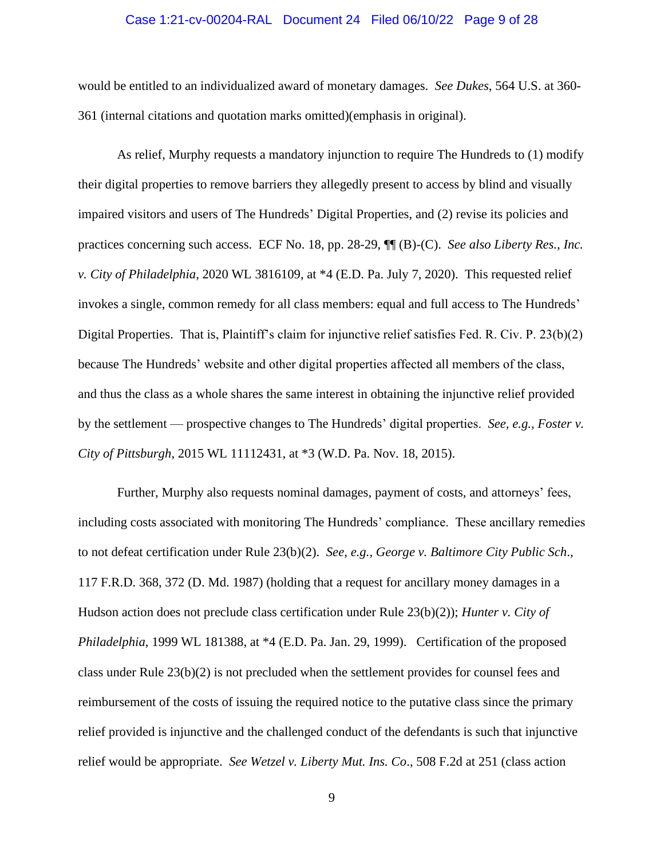### Case 1:21-cv-00204-RAL Document 24 Filed 06/10/22 Page 9 of 28

would be entitled to an individualized award of monetary damages. *See Dukes*, 564 U.S. at 360- 361 (internal citations and quotation marks omitted)(emphasis in original).

As relief, Murphy requests a mandatory injunction to require The Hundreds to (1) modify their digital properties to remove barriers they allegedly present to access by blind and visually impaired visitors and users of The Hundreds' Digital Properties, and (2) revise its policies and practices concerning such access. ECF No. 18, pp. 28-29, ¶¶ (B)-(C). *See also Liberty Res., Inc. v. City of Philadelphia*, 2020 WL 3816109, at \*4 (E.D. Pa. July 7, 2020). This requested relief invokes a single, common remedy for all class members: equal and full access to The Hundreds' Digital Properties. That is, Plaintiff's claim for injunctive relief satisfies Fed. R. Civ. P. 23(b)(2) because The Hundreds' website and other digital properties affected all members of the class, and thus the class as a whole shares the same interest in obtaining the injunctive relief provided by the settlement — prospective changes to The Hundreds' digital properties. *See, e.g., Foster v. City of Pittsburgh*, 2015 WL 11112431, at \*3 (W.D. Pa. Nov. 18, 2015).

Further, Murphy also requests nominal damages, payment of costs, and attorneys' fees, including costs associated with monitoring The Hundreds' compliance. These ancillary remedies to not defeat certification under Rule 23(b)(2). *See, e.g., George v. Baltimore City Public Sch*., 117 F.R.D. 368, 372 (D. Md. 1987) (holding that a request for ancillary money damages in a Hudson action does not preclude class certification under Rule 23(b)(2)); *Hunter v. City of Philadelphia*, 1999 WL 181388, at \*4 (E.D. Pa. Jan. 29, 1999). Certification of the proposed class under Rule 23(b)(2) is not precluded when the settlement provides for counsel fees and reimbursement of the costs of issuing the required notice to the putative class since the primary relief provided is injunctive and the challenged conduct of the defendants is such that injunctive relief would be appropriate. *See Wetzel v. Liberty Mut. Ins. Co*., 508 F.2d at 251 (class action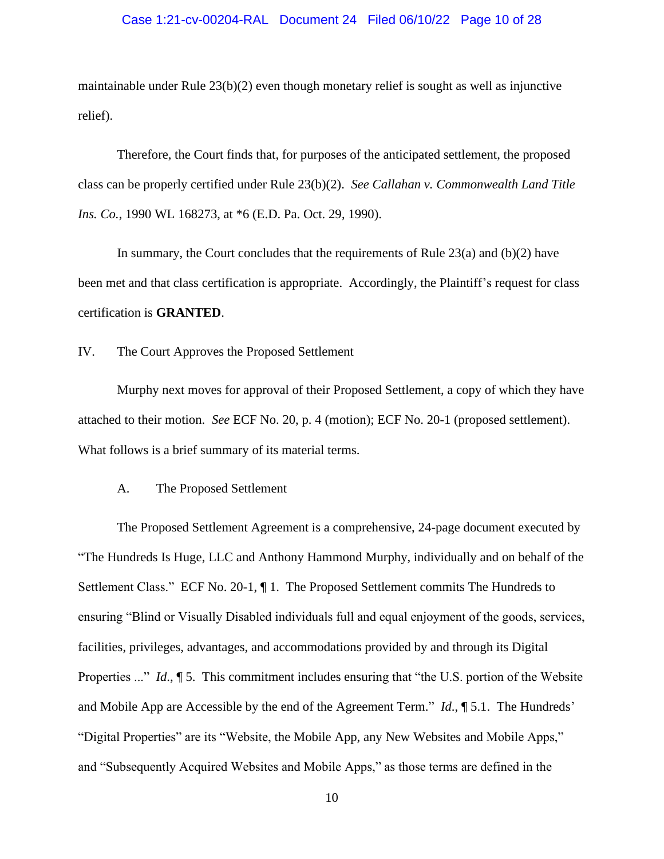### Case 1:21-cv-00204-RAL Document 24 Filed 06/10/22 Page 10 of 28

maintainable under Rule  $23(b)(2)$  even though monetary relief is sought as well as injunctive relief).

Therefore, the Court finds that, for purposes of the anticipated settlement, the proposed class can be properly certified under Rule 23(b)(2). *See Callahan v. Commonwealth Land Title Ins. Co.*, 1990 WL 168273, at \*6 (E.D. Pa. Oct. 29, 1990).

In summary, the Court concludes that the requirements of Rule  $23(a)$  and (b)(2) have been met and that class certification is appropriate. Accordingly, the Plaintiff's request for class certification is **GRANTED**.

IV. The Court Approves the Proposed Settlement

Murphy next moves for approval of their Proposed Settlement, a copy of which they have attached to their motion. *See* ECF No. 20, p. 4 (motion); ECF No. 20-1 (proposed settlement). What follows is a brief summary of its material terms.

### A. The Proposed Settlement

The Proposed Settlement Agreement is a comprehensive, 24-page document executed by "The Hundreds Is Huge, LLC and Anthony Hammond Murphy, individually and on behalf of the Settlement Class." ECF No. 20-1, ¶ 1. The Proposed Settlement commits The Hundreds to ensuring "Blind or Visually Disabled individuals full and equal enjoyment of the goods, services, facilities, privileges, advantages, and accommodations provided by and through its Digital Properties ..." *Id*., ¶ 5. This commitment includes ensuring that "the U.S. portion of the Website and Mobile App are Accessible by the end of the Agreement Term." *Id*., ¶ 5.1. The Hundreds' "Digital Properties" are its "Website, the Mobile App, any New Websites and Mobile Apps," and "Subsequently Acquired Websites and Mobile Apps," as those terms are defined in the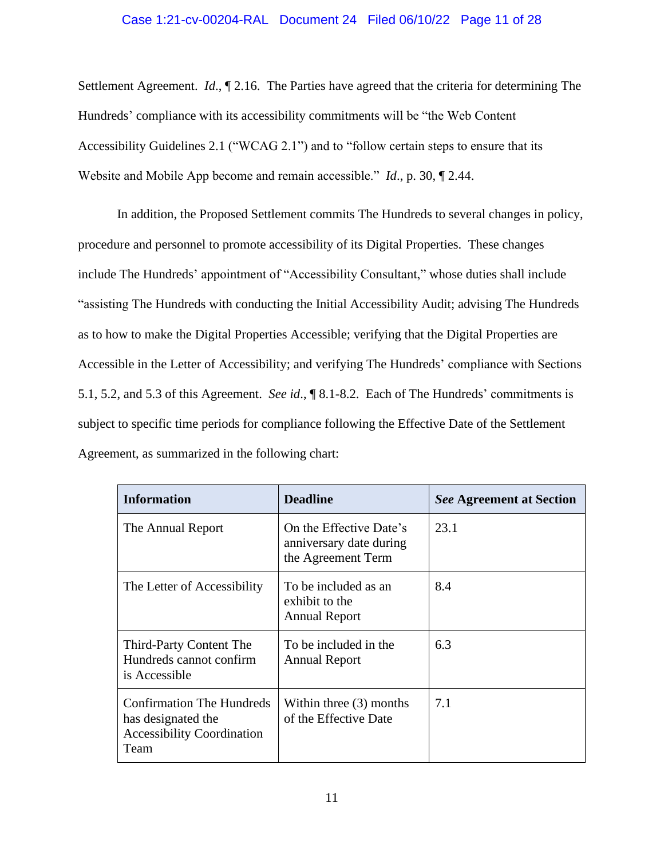### Case 1:21-cv-00204-RAL Document 24 Filed 06/10/22 Page 11 of 28

Settlement Agreement. *Id*., ¶ 2.16. The Parties have agreed that the criteria for determining The Hundreds' compliance with its accessibility commitments will be "the Web Content Accessibility Guidelines 2.1 ("WCAG 2.1") and to "follow certain steps to ensure that its Website and Mobile App become and remain accessible." *Id*., p. 30, ¶ 2.44.

In addition, the Proposed Settlement commits The Hundreds to several changes in policy, procedure and personnel to promote accessibility of its Digital Properties. These changes include The Hundreds' appointment of "Accessibility Consultant," whose duties shall include "assisting The Hundreds with conducting the Initial Accessibility Audit; advising The Hundreds as to how to make the Digital Properties Accessible; verifying that the Digital Properties are Accessible in the Letter of Accessibility; and verifying The Hundreds' compliance with Sections 5.1, 5.2, and 5.3 of this Agreement. *See id*., ¶ 8.1-8.2. Each of The Hundreds' commitments is subject to specific time periods for compliance following the Effective Date of the Settlement Agreement, as summarized in the following chart:

| <b>Information</b>                                                                           | <b>Deadline</b>                                                          | <b>See Agreement at Section</b> |
|----------------------------------------------------------------------------------------------|--------------------------------------------------------------------------|---------------------------------|
| The Annual Report                                                                            | On the Effective Date's<br>anniversary date during<br>the Agreement Term | 23.1                            |
| The Letter of Accessibility                                                                  | To be included as an<br>exhibit to the<br><b>Annual Report</b>           | 8.4                             |
| Third-Party Content The<br>Hundreds cannot confirm<br>is Accessible                          | To be included in the<br><b>Annual Report</b>                            | 6.3                             |
| Confirmation The Hundreds<br>has designated the<br><b>Accessibility Coordination</b><br>Team | Within three $(3)$ months<br>of the Effective Date                       | 7.1                             |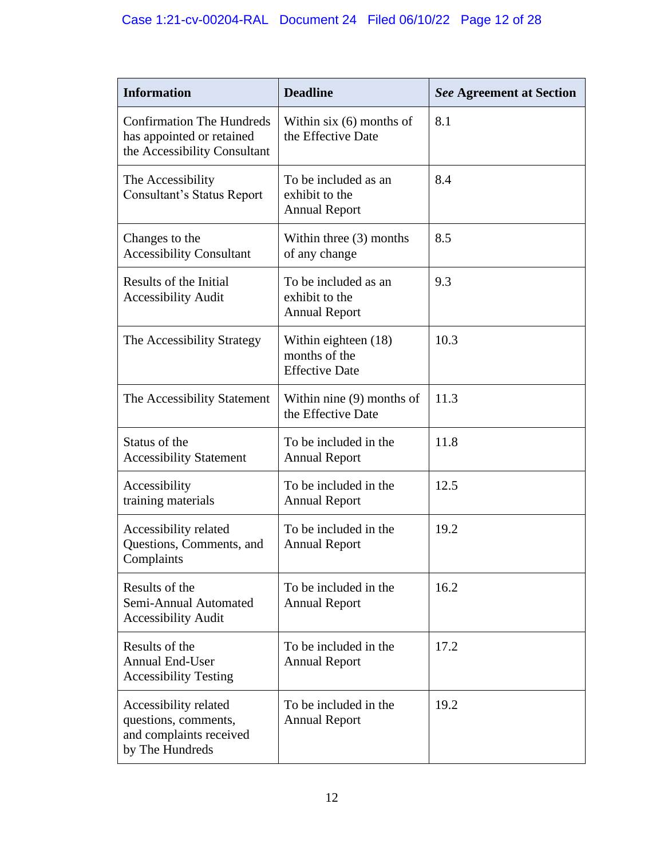| <b>Information</b>                                                                            | <b>Deadline</b>                                                | <b>See Agreement at Section</b> |
|-----------------------------------------------------------------------------------------------|----------------------------------------------------------------|---------------------------------|
| <b>Confirmation The Hundreds</b><br>has appointed or retained<br>the Accessibility Consultant | Within $six(6)$ months of<br>the Effective Date                | 8.1                             |
| The Accessibility<br>Consultant's Status Report                                               | To be included as an<br>exhibit to the<br><b>Annual Report</b> | 8.4                             |
| Changes to the<br><b>Accessibility Consultant</b>                                             | Within three $(3)$ months<br>of any change                     | 8.5                             |
| Results of the Initial<br><b>Accessibility Audit</b>                                          | To be included as an<br>exhibit to the<br><b>Annual Report</b> | 9.3                             |
| The Accessibility Strategy                                                                    | Within eighteen (18)<br>months of the<br><b>Effective Date</b> | 10.3                            |
| The Accessibility Statement                                                                   | Within nine $(9)$ months of<br>the Effective Date              | 11.3                            |
| Status of the<br><b>Accessibility Statement</b>                                               | To be included in the<br><b>Annual Report</b>                  | 11.8                            |
| Accessibility<br>training materials                                                           | To be included in the<br><b>Annual Report</b>                  | 12.5                            |
| Accessibility related<br>Questions, Comments, and<br>Complaints                               | To be included in the<br><b>Annual Report</b>                  | 19.2                            |
| Results of the<br>Semi-Annual Automated<br><b>Accessibility Audit</b>                         | To be included in the<br><b>Annual Report</b>                  | 16.2                            |
| Results of the<br><b>Annual End-User</b><br><b>Accessibility Testing</b>                      | To be included in the<br><b>Annual Report</b>                  | 17.2                            |
| Accessibility related<br>questions, comments,<br>and complaints received<br>by The Hundreds   | To be included in the<br><b>Annual Report</b>                  | 19.2                            |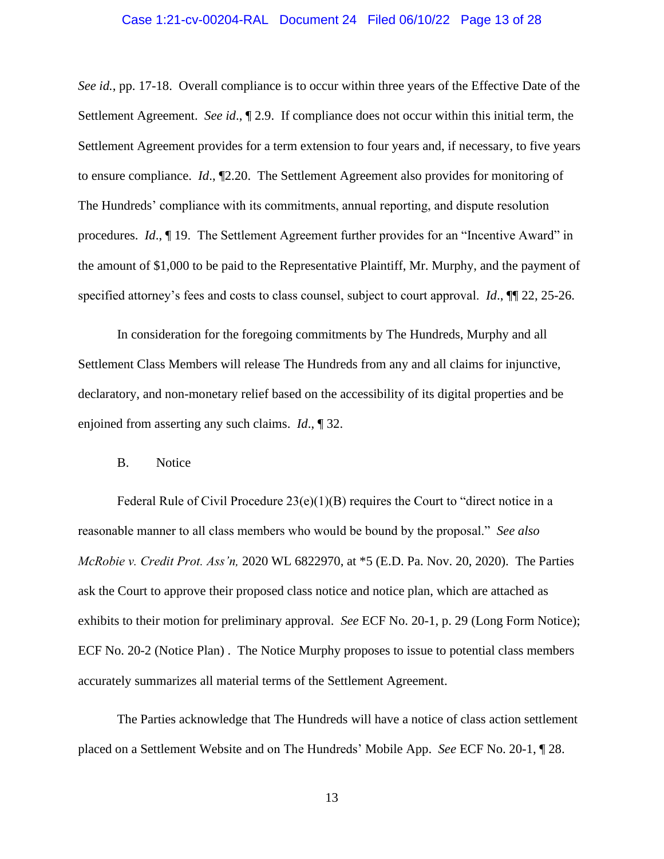#### Case 1:21-cv-00204-RAL Document 24 Filed 06/10/22 Page 13 of 28

*See id.*, pp. 17-18. Overall compliance is to occur within three years of the Effective Date of the Settlement Agreement. *See id*., ¶ 2.9. If compliance does not occur within this initial term, the Settlement Agreement provides for a term extension to four years and, if necessary, to five years to ensure compliance. *Id*., ¶2.20. The Settlement Agreement also provides for monitoring of The Hundreds' compliance with its commitments, annual reporting, and dispute resolution procedures. *Id*., ¶ 19. The Settlement Agreement further provides for an "Incentive Award" in the amount of \$1,000 to be paid to the Representative Plaintiff, Mr. Murphy, and the payment of specified attorney's fees and costs to class counsel, subject to court approval. *Id*., ¶¶ 22, 25-26.

In consideration for the foregoing commitments by The Hundreds, Murphy and all Settlement Class Members will release The Hundreds from any and all claims for injunctive, declaratory, and non-monetary relief based on the accessibility of its digital properties and be enjoined from asserting any such claims. *Id*., ¶ 32.

#### B. Notice

Federal Rule of Civil Procedure  $23(e)(1)(B)$  requires the Court to "direct notice in a reasonable manner to all class members who would be bound by the proposal." *See also McRobie v. Credit Prot. Ass'n,* 2020 WL 6822970, at \*5 (E.D. Pa. Nov. 20, 2020). The Parties ask the Court to approve their proposed class notice and notice plan, which are attached as exhibits to their motion for preliminary approval. *See* ECF No. 20-1, p. 29 (Long Form Notice); ECF No. 20-2 (Notice Plan) . The Notice Murphy proposes to issue to potential class members accurately summarizes all material terms of the Settlement Agreement.

The Parties acknowledge that The Hundreds will have a notice of class action settlement placed on a Settlement Website and on The Hundreds' Mobile App. *See* ECF No. 20-1, ¶ 28.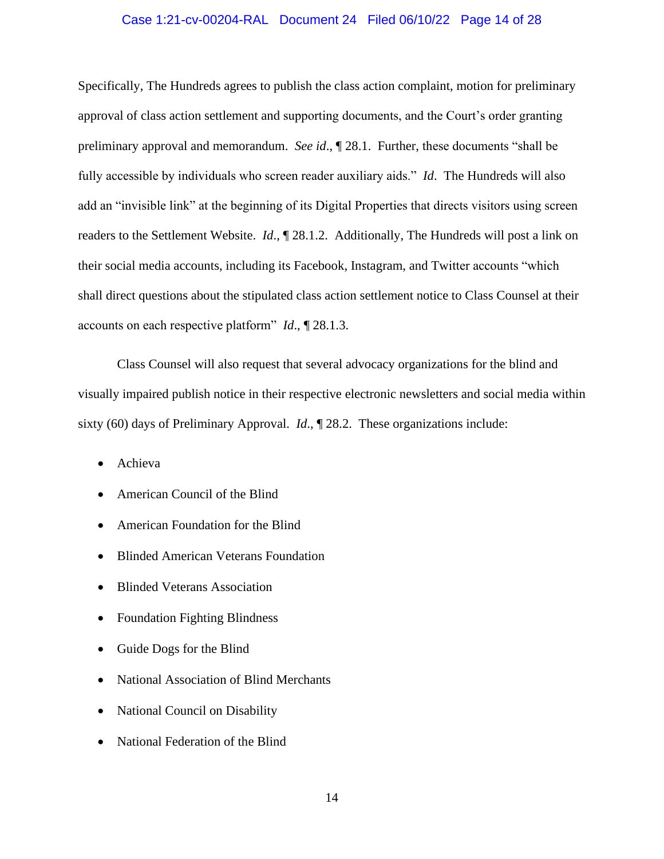### Case 1:21-cv-00204-RAL Document 24 Filed 06/10/22 Page 14 of 28

Specifically, The Hundreds agrees to publish the class action complaint, motion for preliminary approval of class action settlement and supporting documents, and the Court's order granting preliminary approval and memorandum. *See id*., ¶ 28.1. Further, these documents "shall be fully accessible by individuals who screen reader auxiliary aids." *Id*. The Hundreds will also add an "invisible link" at the beginning of its Digital Properties that directs visitors using screen readers to the Settlement Website. *Id*., ¶ 28.1.2. Additionally, The Hundreds will post a link on their social media accounts, including its Facebook, Instagram, and Twitter accounts "which shall direct questions about the stipulated class action settlement notice to Class Counsel at their accounts on each respective platform" *Id*., ¶ 28.1.3.

Class Counsel will also request that several advocacy organizations for the blind and visually impaired publish notice in their respective electronic newsletters and social media within sixty (60) days of Preliminary Approval. *Id*., ¶ 28.2. These organizations include:

- Achieva
- American Council of the Blind
- American Foundation for the Blind
- Blinded American Veterans Foundation
- Blinded Veterans Association
- Foundation Fighting Blindness
- Guide Dogs for the Blind
- National Association of Blind Merchants
- National Council on Disability
- National Federation of the Blind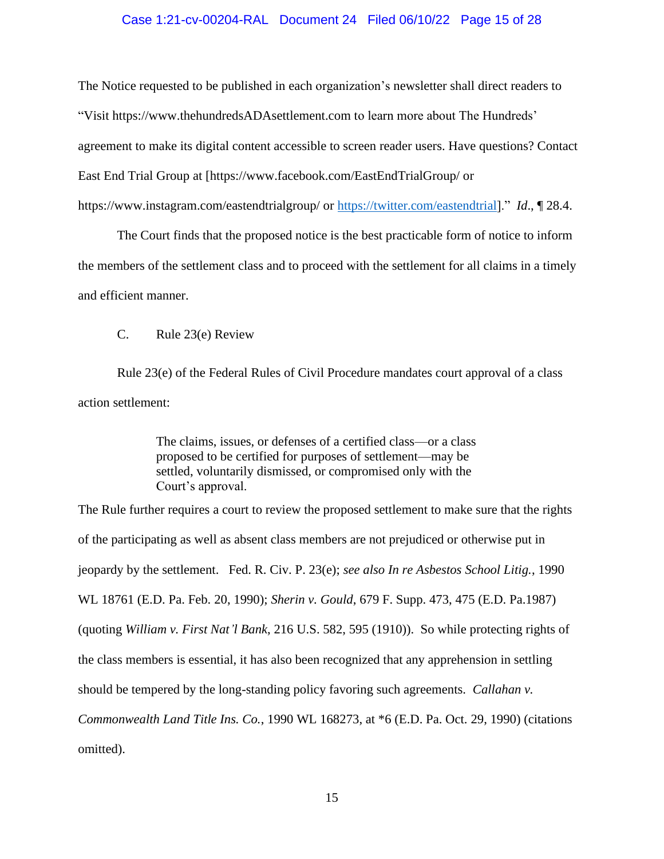### Case 1:21-cv-00204-RAL Document 24 Filed 06/10/22 Page 15 of 28

The Notice requested to be published in each organization's newsletter shall direct readers to "Visit https://www.thehundredsADAsettlement.com to learn more about The Hundreds' agreement to make its digital content accessible to screen reader users. Have questions? Contact East End Trial Group at [https://www.facebook.com/EastEndTrialGroup/ or https://www.instagram.com/eastendtrialgroup/ or [https://twitter.com/eastendtrial\]](https://twitter.com/eastendtrial)." *Id*., ¶ 28.4.

The Court finds that the proposed notice is the best practicable form of notice to inform the members of the settlement class and to proceed with the settlement for all claims in a timely and efficient manner.

C. Rule 23(e) Review

Rule 23(e) of the Federal Rules of Civil Procedure mandates court approval of a class action settlement:

> The claims, issues, or defenses of a certified class—or a class proposed to be certified for purposes of settlement—may be settled, voluntarily dismissed, or compromised only with the Court's approval.

The Rule further requires a court to review the proposed settlement to make sure that the rights of the participating as well as absent class members are not prejudiced or otherwise put in jeopardy by the settlement. Fed. R. Civ. P. 23(e); *see also In re Asbestos School Litig.*, 1990 WL 18761 (E.D. Pa. Feb. 20, 1990); *Sherin v. Gould*, 679 F. Supp. 473, 475 (E.D. Pa.1987) (quoting *William v. First Nat'l Bank*, 216 U.S. 582, 595 (1910)). So while protecting rights of the class members is essential, it has also been recognized that any apprehension in settling should be tempered by the long-standing policy favoring such agreements. *Callahan v. Commonwealth Land Title Ins. Co.*, 1990 WL 168273, at \*6 (E.D. Pa. Oct. 29, 1990) (citations omitted).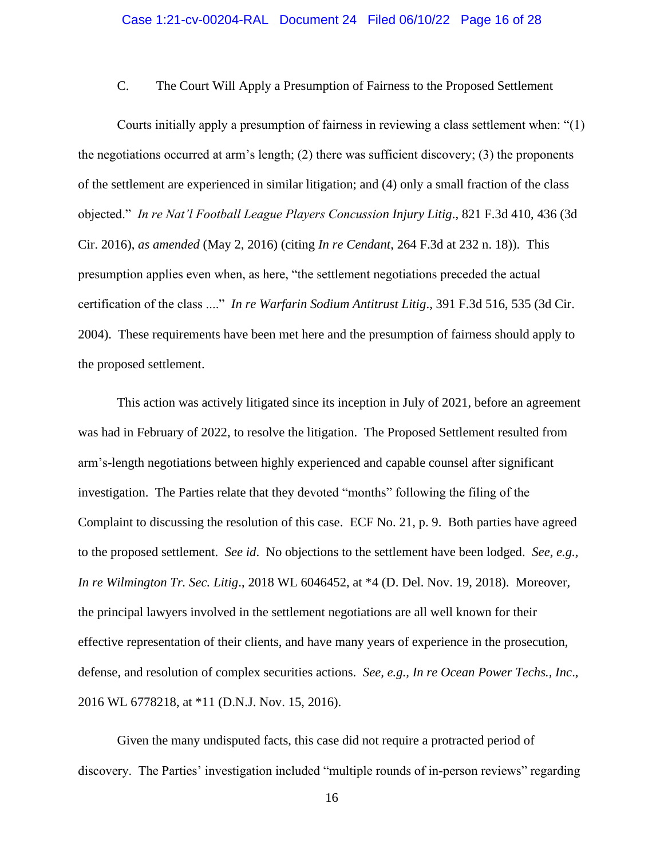C. The Court Will Apply a Presumption of Fairness to the Proposed Settlement

Courts initially apply a presumption of fairness in reviewing a class settlement when: "(1) the negotiations occurred at arm's length; (2) there was sufficient discovery; (3) the proponents of the settlement are experienced in similar litigation; and (4) only a small fraction of the class objected." *In re Nat'l Football League Players Concussion Injury Litig*., 821 F.3d 410, 436 (3d Cir. 2016), *as amended* (May 2, 2016) (citing *In re Cendant*, 264 F.3d at 232 n. 18)). This presumption applies even when, as here, "the settlement negotiations preceded the actual certification of the class ...." *In re Warfarin Sodium Antitrust Litig*., 391 F.3d 516, 535 (3d Cir. 2004). These requirements have been met here and the presumption of fairness should apply to the proposed settlement.

This action was actively litigated since its inception in July of 2021, before an agreement was had in February of 2022, to resolve the litigation. The Proposed Settlement resulted from arm's-length negotiations between highly experienced and capable counsel after significant investigation. The Parties relate that they devoted "months" following the filing of the Complaint to discussing the resolution of this case. ECF No. 21, p. 9. Both parties have agreed to the proposed settlement. *See id*. No objections to the settlement have been lodged. *See, e.g., In re Wilmington Tr. Sec. Litig*., 2018 WL 6046452, at \*4 (D. Del. Nov. 19, 2018). Moreover, the principal lawyers involved in the settlement negotiations are all well known for their effective representation of their clients, and have many years of experience in the prosecution, defense, and resolution of complex securities actions. *See, e.g., In re Ocean Power Techs., Inc*., 2016 WL 6778218, at \*11 (D.N.J. Nov. 15, 2016).

Given the many undisputed facts, this case did not require a protracted period of discovery. The Parties' investigation included "multiple rounds of in-person reviews" regarding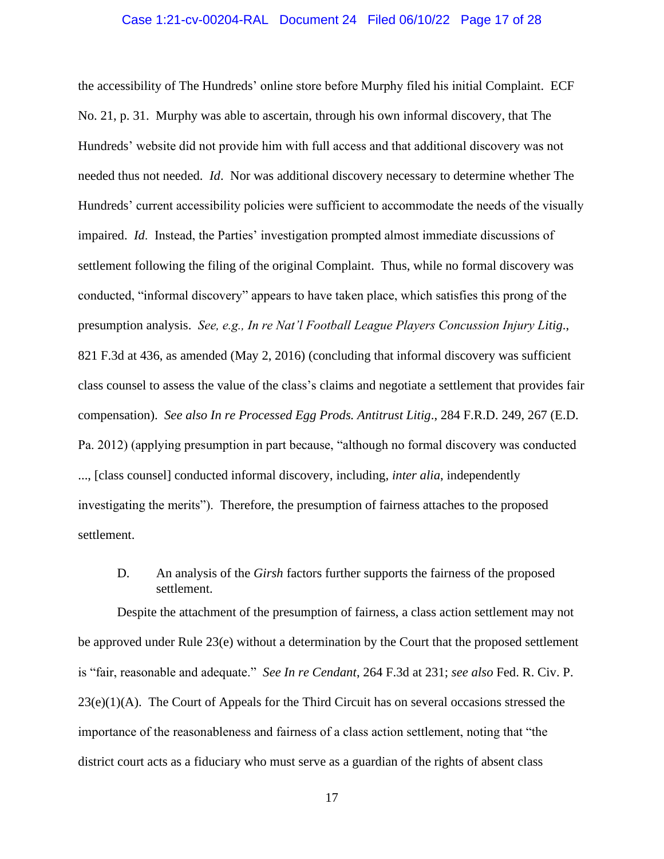### Case 1:21-cv-00204-RAL Document 24 Filed 06/10/22 Page 17 of 28

the accessibility of The Hundreds' online store before Murphy filed his initial Complaint. ECF No. 21, p. 31. Murphy was able to ascertain, through his own informal discovery, that The Hundreds' website did not provide him with full access and that additional discovery was not needed thus not needed. *Id*. Nor was additional discovery necessary to determine whether The Hundreds' current accessibility policies were sufficient to accommodate the needs of the visually impaired. *Id*. Instead, the Parties' investigation prompted almost immediate discussions of settlement following the filing of the original Complaint. Thus, while no formal discovery was conducted, "informal discovery" appears to have taken place, which satisfies this prong of the presumption analysis. *See, e.g., In re Nat'l Football League Players Concussion Injury Litig*., 821 F.3d at 436, as amended (May 2, 2016) (concluding that informal discovery was sufficient class counsel to assess the value of the class's claims and negotiate a settlement that provides fair compensation). *See also In re Processed Egg Prods. Antitrust Litig*., 284 F.R.D. 249, 267 (E.D. Pa. 2012) (applying presumption in part because, "although no formal discovery was conducted ..., [class counsel] conducted informal discovery, including, *inter alia*, independently investigating the merits"). Therefore, the presumption of fairness attaches to the proposed settlement.

D. An analysis of the *Girsh* factors further supports the fairness of the proposed settlement.

Despite the attachment of the presumption of fairness, a class action settlement may not be approved under Rule 23(e) without a determination by the Court that the proposed settlement is "fair, reasonable and adequate." *See In re Cendant*, 264 F.3d at 231; *see also* Fed. R. Civ. P.  $23(e)(1)(A)$ . The Court of Appeals for the Third Circuit has on several occasions stressed the importance of the reasonableness and fairness of a class action settlement, noting that "the district court acts as a fiduciary who must serve as a guardian of the rights of absent class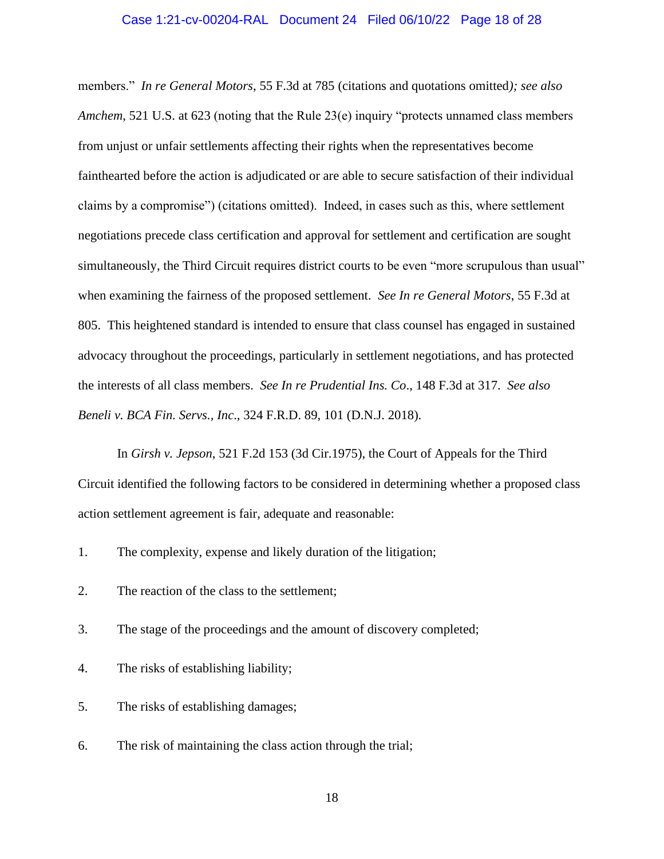#### Case 1:21-cv-00204-RAL Document 24 Filed 06/10/22 Page 18 of 28

members." *In re General Motors*, 55 F.3d at 785 (citations and quotations omitted*); see also Amchem*, 521 U.S. at 623 (noting that the Rule 23(e) inquiry "protects unnamed class members from unjust or unfair settlements affecting their rights when the representatives become fainthearted before the action is adjudicated or are able to secure satisfaction of their individual claims by a compromise") (citations omitted). Indeed, in cases such as this, where settlement negotiations precede class certification and approval for settlement and certification are sought simultaneously, the Third Circuit requires district courts to be even "more scrupulous than usual" when examining the fairness of the proposed settlement. *See In re General Motors*, 55 F.3d at 805. This heightened standard is intended to ensure that class counsel has engaged in sustained advocacy throughout the proceedings, particularly in settlement negotiations, and has protected the interests of all class members. *See In re Prudential Ins. Co*., 148 F.3d at 317. *See also Beneli v. BCA Fin. Servs., Inc*., 324 F.R.D. 89, 101 (D.N.J. 2018).

In *Girsh v. Jepson*, 521 F.2d 153 (3d Cir.1975), the Court of Appeals for the Third Circuit identified the following factors to be considered in determining whether a proposed class action settlement agreement is fair, adequate and reasonable:

1. The complexity, expense and likely duration of the litigation;

2. The reaction of the class to the settlement;

3. The stage of the proceedings and the amount of discovery completed;

4. The risks of establishing liability;

5. The risks of establishing damages;

6. The risk of maintaining the class action through the trial;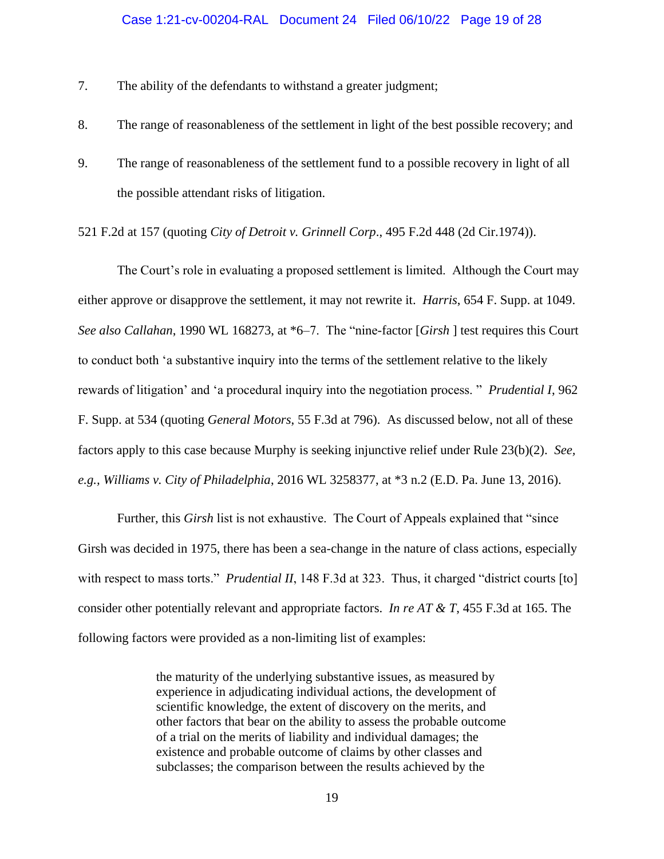- 7. The ability of the defendants to withstand a greater judgment;
- 8. The range of reasonableness of the settlement in light of the best possible recovery; and
- 9. The range of reasonableness of the settlement fund to a possible recovery in light of all the possible attendant risks of litigation.

521 F.2d at 157 (quoting *City of Detroit v. Grinnell Corp*., 495 F.2d 448 (2d Cir.1974)).

The Court's role in evaluating a proposed settlement is limited. Although the Court may either approve or disapprove the settlement, it may not rewrite it. *Harris*, 654 F. Supp. at 1049. *See also Callahan*, 1990 WL 168273, at \*6–7. The "nine-factor [*Girsh* ] test requires this Court to conduct both 'a substantive inquiry into the terms of the settlement relative to the likely rewards of litigation' and 'a procedural inquiry into the negotiation process. " *Prudential I*, 962 F. Supp. at 534 (quoting *General Motors*, 55 F.3d at 796). As discussed below, not all of these factors apply to this case because Murphy is seeking injunctive relief under Rule 23(b)(2). *See, e.g., Williams v. City of Philadelphia*, 2016 WL 3258377, at \*3 n.2 (E.D. Pa. June 13, 2016).

Further, this *Girsh* list is not exhaustive. The Court of Appeals explained that "since Girsh was decided in 1975, there has been a sea-change in the nature of class actions, especially with respect to mass torts." *Prudential II*, 148 F.3d at 323. Thus, it charged "district courts [to] consider other potentially relevant and appropriate factors. *In re AT & T*, 455 F.3d at 165. The following factors were provided as a non-limiting list of examples:

> the maturity of the underlying substantive issues, as measured by experience in adjudicating individual actions, the development of scientific knowledge, the extent of discovery on the merits, and other factors that bear on the ability to assess the probable outcome of a trial on the merits of liability and individual damages; the existence and probable outcome of claims by other classes and subclasses; the comparison between the results achieved by the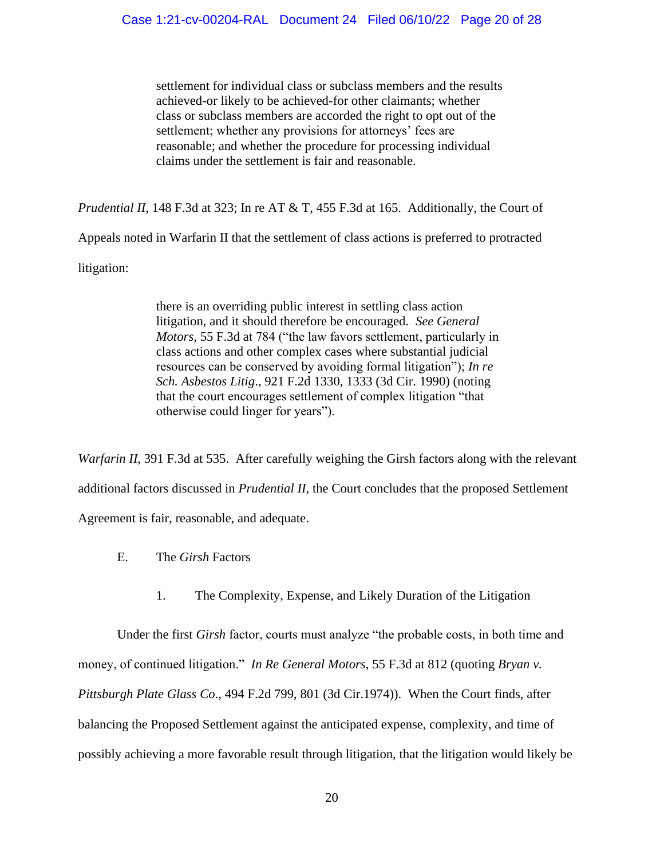settlement for individual class or subclass members and the results achieved-or likely to be achieved-for other claimants; whether class or subclass members are accorded the right to opt out of the settlement; whether any provisions for attorneys' fees are reasonable; and whether the procedure for processing individual claims under the settlement is fair and reasonable.

*Prudential II*, 148 F.3d at 323; In re AT & T, 455 F.3d at 165. Additionally, the Court of

Appeals noted in Warfarin II that the settlement of class actions is preferred to protracted

litigation:

there is an overriding public interest in settling class action litigation, and it should therefore be encouraged. *See General Motors,* 55 F.3d at 784 ("the law favors settlement, particularly in class actions and other complex cases where substantial judicial resources can be conserved by avoiding formal litigation"); *In re Sch. Asbestos Litig*., 921 F.2d 1330, 1333 (3d Cir. 1990) (noting that the court encourages settlement of complex litigation "that otherwise could linger for years").

*Warfarin II*, 391 F.3d at 535. After carefully weighing the Girsh factors along with the relevant additional factors discussed in *Prudential II*, the Court concludes that the proposed Settlement Agreement is fair, reasonable, and adequate.

- E. The *Girsh* Factors
	- 1. The Complexity, Expense, and Likely Duration of the Litigation

Under the first *Girsh* factor, courts must analyze "the probable costs, in both time and money, of continued litigation." *In Re General Motors*, 55 F.3d at 812 (quoting *Bryan v. Pittsburgh Plate Glass Co*., 494 F.2d 799, 801 (3d Cir.1974)). When the Court finds, after balancing the Proposed Settlement against the anticipated expense, complexity, and time of possibly achieving a more favorable result through litigation, that the litigation would likely be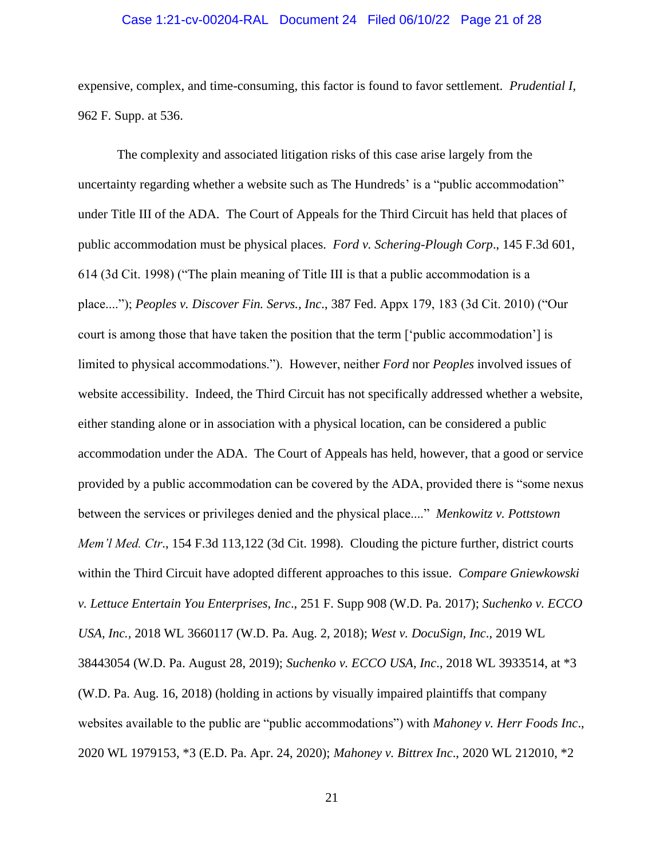### Case 1:21-cv-00204-RAL Document 24 Filed 06/10/22 Page 21 of 28

expensive, complex, and time-consuming, this factor is found to favor settlement. *Prudential I,* 962 F. Supp. at 536.

The complexity and associated litigation risks of this case arise largely from the uncertainty regarding whether a website such as The Hundreds' is a "public accommodation" under Title III of the ADA. The Court of Appeals for the Third Circuit has held that places of public accommodation must be physical places. *Ford v. Schering-Plough Corp*., 145 F.3d 601, 614 (3d Cit. 1998) ("The plain meaning of Title III is that a public accommodation is a place...."); *Peoples v. Discover Fin. Servs., Inc*., 387 Fed. Appx 179, 183 (3d Cit. 2010) ("Our court is among those that have taken the position that the term ['public accommodation'] is limited to physical accommodations."). However, neither *Ford* nor *Peoples* involved issues of website accessibility. Indeed, the Third Circuit has not specifically addressed whether a website, either standing alone or in association with a physical location, can be considered a public accommodation under the ADA. The Court of Appeals has held, however, that a good or service provided by a public accommodation can be covered by the ADA, provided there is "some nexus between the services or privileges denied and the physical place...." *Menkowitz v. Pottstown Mem'l Med. Ctr*., 154 F.3d 113,122 (3d Cit. 1998). Clouding the picture further, district courts within the Third Circuit have adopted different approaches to this issue. *Compare Gniewkowski v. Lettuce Entertain You Enterprises, Inc*., 251 F. Supp 908 (W.D. Pa. 2017); *Suchenko v. ECCO USA, Inc.,* 2018 WL 3660117 (W.D. Pa. Aug. 2, 2018); *West v. DocuSign, Inc*., 2019 WL 38443054 (W.D. Pa. August 28, 2019); *Suchenko v. ECCO USA, Inc*., 2018 WL 3933514, at \*3 (W.D. Pa. Aug. 16, 2018) (holding in actions by visually impaired plaintiffs that company websites available to the public are "public accommodations") with *Mahoney v. Herr Foods Inc*., 2020 WL 1979153, \*3 (E.D. Pa. Apr. 24, 2020); *Mahoney v. Bittrex Inc*., 2020 WL 212010, \*2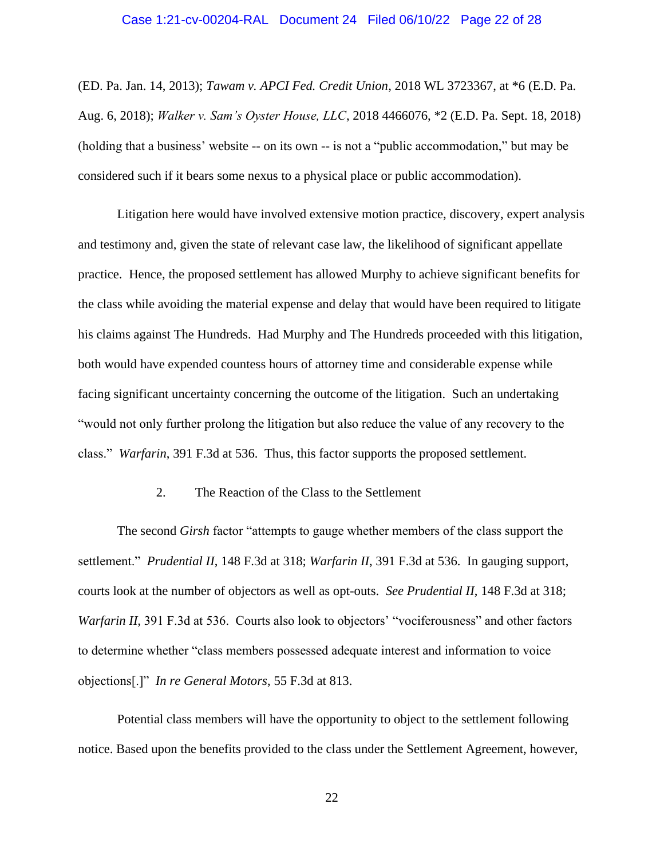#### Case 1:21-cv-00204-RAL Document 24 Filed 06/10/22 Page 22 of 28

(ED. Pa. Jan. 14, 2013); *Tawam v. APCI Fed. Credit Union*, 2018 WL 3723367, at \*6 (E.D. Pa. Aug. 6, 2018); *Walker v. Sam's Oyster House, LLC*, 2018 4466076, \*2 (E.D. Pa. Sept. 18, 2018) (holding that a business' website -- on its own -- is not a "public accommodation," but may be considered such if it bears some nexus to a physical place or public accommodation).

Litigation here would have involved extensive motion practice, discovery, expert analysis and testimony and, given the state of relevant case law, the likelihood of significant appellate practice. Hence, the proposed settlement has allowed Murphy to achieve significant benefits for the class while avoiding the material expense and delay that would have been required to litigate his claims against The Hundreds. Had Murphy and The Hundreds proceeded with this litigation, both would have expended countess hours of attorney time and considerable expense while facing significant uncertainty concerning the outcome of the litigation. Such an undertaking "would not only further prolong the litigation but also reduce the value of any recovery to the class." *Warfarin*, 391 F.3d at 536. Thus, this factor supports the proposed settlement.

### 2. The Reaction of the Class to the Settlement

The second *Girsh* factor "attempts to gauge whether members of the class support the settlement." *Prudential II*, 148 F.3d at 318; *Warfarin II*, 391 F.3d at 536. In gauging support, courts look at the number of objectors as well as opt-outs. *See Prudential II*, 148 F.3d at 318; *Warfarin II,* 391 F.3d at 536. Courts also look to objectors' "vociferousness" and other factors to determine whether "class members possessed adequate interest and information to voice objections[.]" *In re General Motors*, 55 F.3d at 813.

Potential class members will have the opportunity to object to the settlement following notice. Based upon the benefits provided to the class under the Settlement Agreement, however,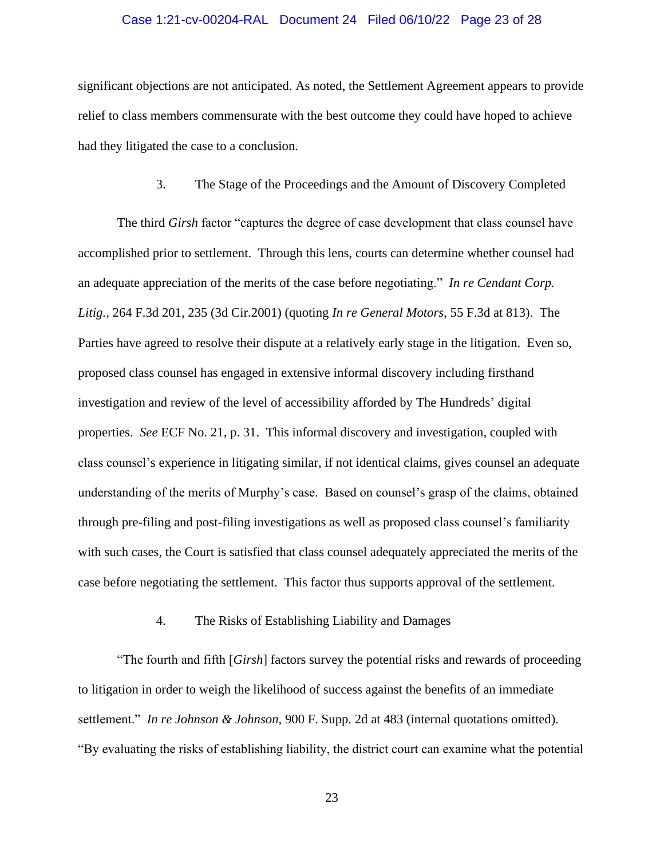### Case 1:21-cv-00204-RAL Document 24 Filed 06/10/22 Page 23 of 28

significant objections are not anticipated. As noted, the Settlement Agreement appears to provide relief to class members commensurate with the best outcome they could have hoped to achieve had they litigated the case to a conclusion.

### 3. The Stage of the Proceedings and the Amount of Discovery Completed

The third *Girsh* factor "captures the degree of case development that class counsel have accomplished prior to settlement. Through this lens, courts can determine whether counsel had an adequate appreciation of the merits of the case before negotiating." *In re Cendant Corp. Litig.*, 264 F.3d 201, 235 (3d Cir.2001) (quoting *In re General Motors*, 55 F.3d at 813). The Parties have agreed to resolve their dispute at a relatively early stage in the litigation. Even so, proposed class counsel has engaged in extensive informal discovery including firsthand investigation and review of the level of accessibility afforded by The Hundreds' digital properties. *See* ECF No. 21, p. 31. This informal discovery and investigation, coupled with class counsel's experience in litigating similar, if not identical claims, gives counsel an adequate understanding of the merits of Murphy's case. Based on counsel's grasp of the claims, obtained through pre-filing and post-filing investigations as well as proposed class counsel's familiarity with such cases, the Court is satisfied that class counsel adequately appreciated the merits of the case before negotiating the settlement. This factor thus supports approval of the settlement.

# 4. The Risks of Establishing Liability and Damages

"The fourth and fifth [*Girsh*] factors survey the potential risks and rewards of proceeding to litigation in order to weigh the likelihood of success against the benefits of an immediate settlement." *In re Johnson & Johnson*, 900 F. Supp. 2d at 483 (internal quotations omitted). "By evaluating the risks of establishing liability, the district court can examine what the potential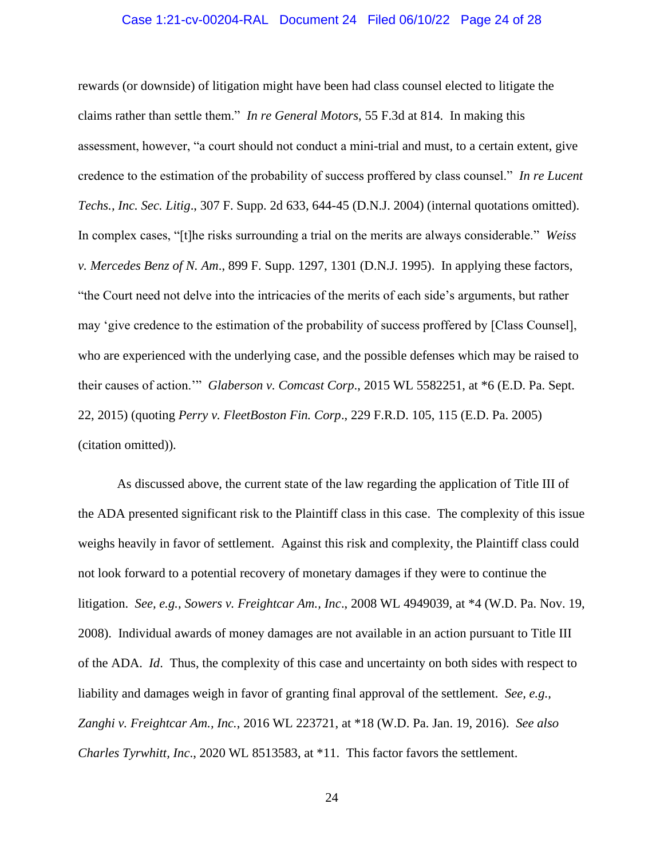#### Case 1:21-cv-00204-RAL Document 24 Filed 06/10/22 Page 24 of 28

rewards (or downside) of litigation might have been had class counsel elected to litigate the claims rather than settle them." *In re General Motors*, 55 F.3d at 814. In making this assessment, however, "a court should not conduct a mini-trial and must, to a certain extent, give credence to the estimation of the probability of success proffered by class counsel." *In re Lucent Techs., Inc. Sec. Litig*., 307 F. Supp. 2d 633, 644-45 (D.N.J. 2004) (internal quotations omitted). In complex cases, "[t]he risks surrounding a trial on the merits are always considerable." *Weiss v. Mercedes Benz of N. Am*., 899 F. Supp. 1297, 1301 (D.N.J. 1995). In applying these factors, "the Court need not delve into the intricacies of the merits of each side's arguments, but rather may 'give credence to the estimation of the probability of success proffered by [Class Counsel], who are experienced with the underlying case, and the possible defenses which may be raised to their causes of action.'" *Glaberson v. Comcast Corp*., 2015 WL 5582251, at \*6 (E.D. Pa. Sept. 22, 2015) (quoting *Perry v. FleetBoston Fin. Corp*., 229 F.R.D. 105, 115 (E.D. Pa. 2005) (citation omitted)).

As discussed above, the current state of the law regarding the application of Title III of the ADA presented significant risk to the Plaintiff class in this case. The complexity of this issue weighs heavily in favor of settlement. Against this risk and complexity, the Plaintiff class could not look forward to a potential recovery of monetary damages if they were to continue the litigation. *See, e.g., Sowers v. Freightcar Am., Inc*., 2008 WL 4949039, at \*4 (W.D. Pa. Nov. 19, 2008). Individual awards of money damages are not available in an action pursuant to Title III of the ADA. *Id*. Thus, the complexity of this case and uncertainty on both sides with respect to liability and damages weigh in favor of granting final approval of the settlement. *See, e.g., Zanghi v. Freightcar Am., Inc.*, 2016 WL 223721, at \*18 (W.D. Pa. Jan. 19, 2016). *See also Charles Tyrwhitt, Inc*., 2020 WL 8513583, at \*11. This factor favors the settlement.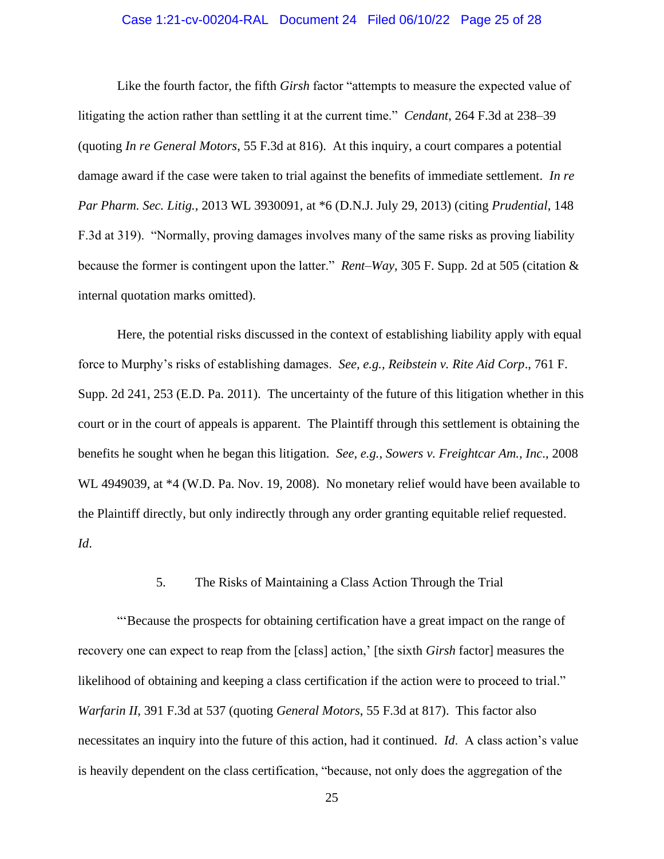### Case 1:21-cv-00204-RAL Document 24 Filed 06/10/22 Page 25 of 28

Like the fourth factor, the fifth *Girsh* factor "attempts to measure the expected value of litigating the action rather than settling it at the current time." *Cendant*, 264 F.3d at 238–39 (quoting *In re General Motors*, 55 F.3d at 816). At this inquiry, a court compares a potential damage award if the case were taken to trial against the benefits of immediate settlement. *In re Par Pharm. Sec. Litig.*, 2013 WL 3930091, at \*6 (D.N.J. July 29, 2013) (citing *Prudential*, 148 F.3d at 319). "Normally, proving damages involves many of the same risks as proving liability because the former is contingent upon the latter." *Rent–Way*, 305 F. Supp. 2d at 505 (citation & internal quotation marks omitted).

Here, the potential risks discussed in the context of establishing liability apply with equal force to Murphy's risks of establishing damages. *See, e.g., Reibstein v. Rite Aid Corp*., 761 F. Supp. 2d 241, 253 (E.D. Pa. 2011). The uncertainty of the future of this litigation whether in this court or in the court of appeals is apparent. The Plaintiff through this settlement is obtaining the benefits he sought when he began this litigation. *See, e.g., Sowers v. Freightcar Am., Inc*., 2008 WL 4949039, at \*4 (W.D. Pa. Nov. 19, 2008). No monetary relief would have been available to the Plaintiff directly, but only indirectly through any order granting equitable relief requested. *Id*.

### 5. The Risks of Maintaining a Class Action Through the Trial

"'Because the prospects for obtaining certification have a great impact on the range of recovery one can expect to reap from the [class] action,' [the sixth *Girsh* factor] measures the likelihood of obtaining and keeping a class certification if the action were to proceed to trial." *Warfarin II*, 391 F.3d at 537 (quoting *General Motors*, 55 F.3d at 817). This factor also necessitates an inquiry into the future of this action, had it continued. *Id*. A class action's value is heavily dependent on the class certification, "because, not only does the aggregation of the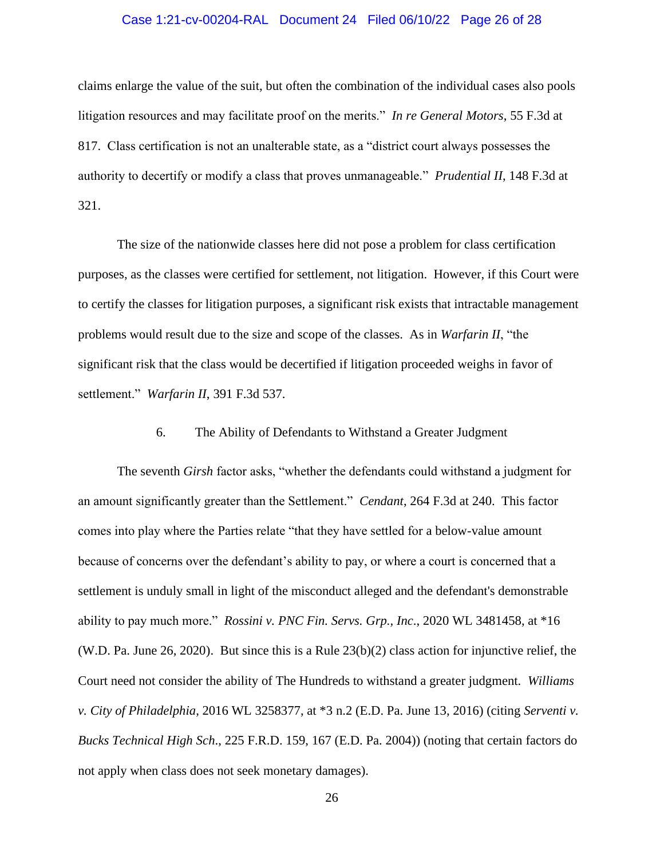### Case 1:21-cv-00204-RAL Document 24 Filed 06/10/22 Page 26 of 28

claims enlarge the value of the suit, but often the combination of the individual cases also pools litigation resources and may facilitate proof on the merits." *In re General Motors*, 55 F.3d at 817. Class certification is not an unalterable state, as a "district court always possesses the authority to decertify or modify a class that proves unmanageable." *Prudential II*, 148 F.3d at 321.

The size of the nationwide classes here did not pose a problem for class certification purposes, as the classes were certified for settlement, not litigation. However, if this Court were to certify the classes for litigation purposes, a significant risk exists that intractable management problems would result due to the size and scope of the classes. As in *Warfarin II*, "the significant risk that the class would be decertified if litigation proceeded weighs in favor of settlement." *Warfarin II*, 391 F.3d 537.

### 6. The Ability of Defendants to Withstand a Greater Judgment

The seventh *Girsh* factor asks, "whether the defendants could withstand a judgment for an amount significantly greater than the Settlement." *Cendant*, 264 F.3d at 240. This factor comes into play where the Parties relate "that they have settled for a below-value amount because of concerns over the defendant's ability to pay, or where a court is concerned that a settlement is unduly small in light of the misconduct alleged and the defendant's demonstrable ability to pay much more." *Rossini v. PNC Fin. Servs. Grp., Inc*., 2020 WL 3481458, at \*16 (W.D. Pa. June 26, 2020). But since this is a Rule 23(b)(2) class action for injunctive relief, the Court need not consider the ability of The Hundreds to withstand a greater judgment. *Williams v. City of Philadelphia*, 2016 WL 3258377, at \*3 n.2 (E.D. Pa. June 13, 2016) (citing *Serventi v. Bucks Technical High Sch*., 225 F.R.D. 159, 167 (E.D. Pa. 2004)) (noting that certain factors do not apply when class does not seek monetary damages).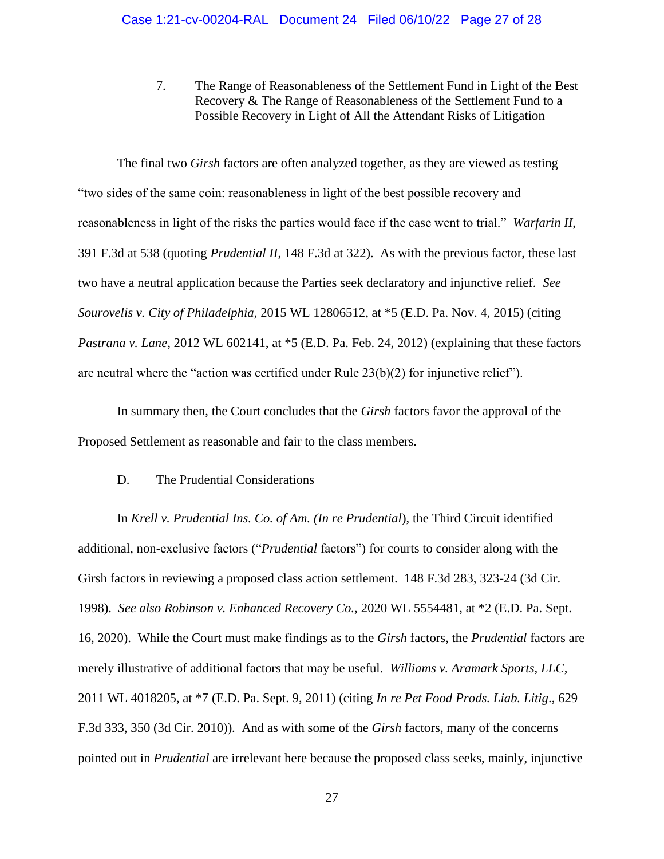7. The Range of Reasonableness of the Settlement Fund in Light of the Best Recovery & The Range of Reasonableness of the Settlement Fund to a Possible Recovery in Light of All the Attendant Risks of Litigation

The final two *Girsh* factors are often analyzed together, as they are viewed as testing "two sides of the same coin: reasonableness in light of the best possible recovery and reasonableness in light of the risks the parties would face if the case went to trial." *Warfarin II*, 391 F.3d at 538 (quoting *Prudential II*, 148 F.3d at 322). As with the previous factor, these last two have a neutral application because the Parties seek declaratory and injunctive relief. *See Sourovelis v. City of Philadelphia,* 2015 WL 12806512, at \*5 (E.D. Pa. Nov. 4, 2015) (citing *Pastrana v. Lane*, 2012 WL 602141, at \*5 (E.D. Pa. Feb. 24, 2012) (explaining that these factors are neutral where the "action was certified under Rule 23(b)(2) for injunctive relief").

In summary then, the Court concludes that the *Girsh* factors favor the approval of the Proposed Settlement as reasonable and fair to the class members.

### D. The Prudential Considerations

In *Krell v. Prudential Ins. Co. of Am. (In re Prudential*), the Third Circuit identified additional, non-exclusive factors ("*Prudential* factors") for courts to consider along with the Girsh factors in reviewing a proposed class action settlement. 148 F.3d 283, 323-24 (3d Cir. 1998). *See also Robinson v. Enhanced Recovery Co.,* 2020 WL 5554481, at \*2 (E.D. Pa. Sept. 16, 2020). While the Court must make findings as to the *Girsh* factors, the *Prudential* factors are merely illustrative of additional factors that may be useful. *Williams v. Aramark Sports, LLC*, 2011 WL 4018205, at \*7 (E.D. Pa. Sept. 9, 2011) (citing *In re Pet Food Prods. Liab. Litig*., 629 F.3d 333, 350 (3d Cir. 2010)). And as with some of the *Girsh* factors, many of the concerns pointed out in *Prudential* are irrelevant here because the proposed class seeks, mainly, injunctive